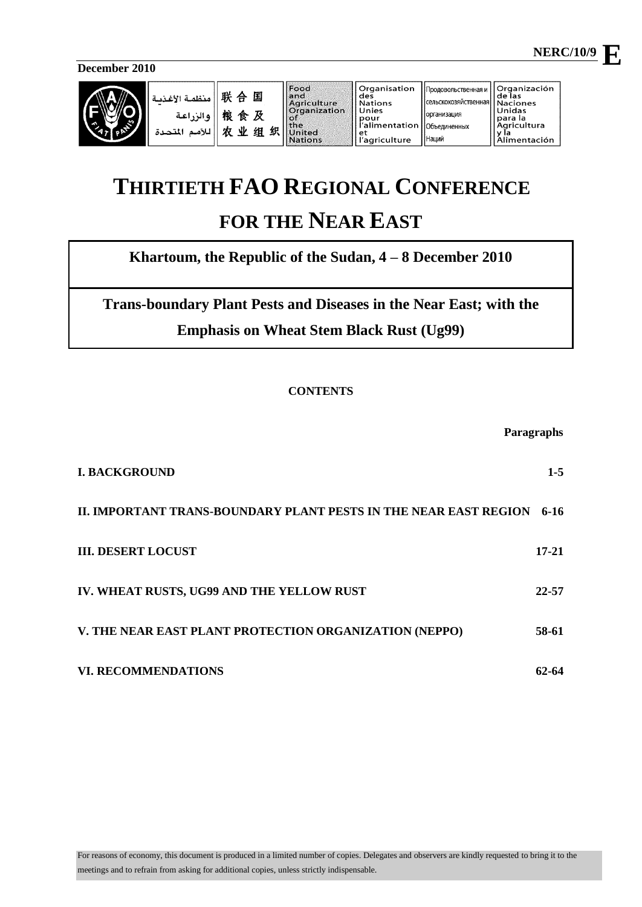**December 2010** 



| ا منظمة الأغذبـة $\parallel$ # $\parallel$<br>国<br>粮食及<br>والزراعة<br>贞<br>业<br>组织<br>اللأمم<br>المتحدة | Food<br>land<br>Agriculture<br><b>Organization</b><br>l of<br>  the<br>United<br><b>Nations</b> | Organisation<br>des<br><b>Nations</b><br>Unies<br>pour<br>l'alimentation   Объединенных<br>et<br>l'agriculture | Продовольственная и '<br>« Сельскохозяйственная   Naciones<br><b>Порганизация</b><br>Наций | <b>Organización</b><br>de las<br>Unidas<br>para la<br>Agricultura<br>limentación |
|---------------------------------------------------------------------------------------------------------|-------------------------------------------------------------------------------------------------|----------------------------------------------------------------------------------------------------------------|--------------------------------------------------------------------------------------------|----------------------------------------------------------------------------------|
|---------------------------------------------------------------------------------------------------------|-------------------------------------------------------------------------------------------------|----------------------------------------------------------------------------------------------------------------|--------------------------------------------------------------------------------------------|----------------------------------------------------------------------------------|

# **THIRTIETH FAO REGIONAL CONFERENCE FOR THE NEAR EAST**

**Khartoum, the Republic of the Sudan, 4 – 8 December 2010**

**Trans-boundary Plant Pests and Diseases in the Near East; with the Emphasis on Wheat Stem Black Rust (Ug99)**

# **CONTENTS**

|                                                                  | Paragraphs |
|------------------------------------------------------------------|------------|
| <b>I. BACKGROUND</b>                                             | $1 - 5$    |
| II. IMPORTANT TRANS-BOUNDARY PLANT PESTS IN THE NEAR EAST REGION | 6-16       |
| <b>III. DESERT LOCUST</b>                                        | $17 - 21$  |
| IV. WHEAT RUSTS, UG99 AND THE YELLOW RUST                        | 22-57      |
| V. THE NEAR EAST PLANT PROTECTION ORGANIZATION (NEPPO)           | 58-61      |
| <b>VI. RECOMMENDATIONS</b>                                       | 62-64      |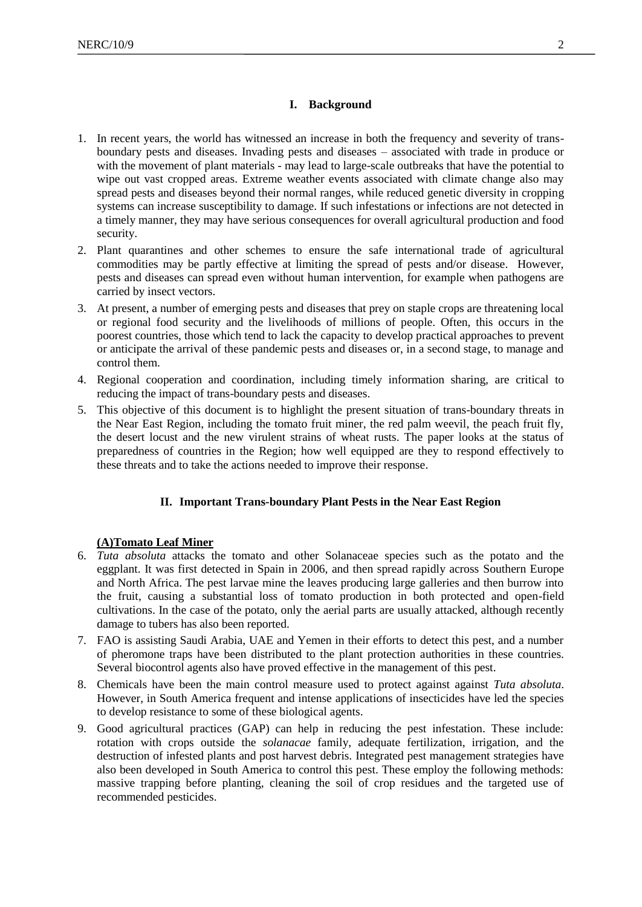## **I. Background**

- <span id="page-1-0"></span>1. In recent years, the world has witnessed an increase in both the frequency and severity of transboundary pests and diseases. Invading pests and diseases – associated with trade in produce or with the movement of plant materials - may lead to large-scale outbreaks that have the potential to wipe out vast cropped areas. Extreme weather events associated with climate change also may spread pests and diseases beyond their normal ranges, while reduced genetic diversity in cropping systems can increase susceptibility to damage. If such infestations or infections are not detected in a timely manner, they may have serious consequences for overall agricultural production and food security.
- 2. Plant quarantines and other schemes to ensure the safe international trade of agricultural commodities may be partly effective at limiting the spread of pests and/or disease. However, pests and diseases can spread even without human intervention, for example when pathogens are carried by insect vectors.
- 3. At present, a number of emerging pests and diseases that prey on staple crops are threatening local or regional food security and the livelihoods of millions of people. Often, this occurs in the poorest countries, those which tend to lack the capacity to develop practical approaches to prevent or anticipate the arrival of these pandemic pests and diseases or, in a second stage, to manage and control them.
- 4. Regional cooperation and coordination, including timely information sharing, are critical to reducing the impact of trans-boundary pests and diseases.
- 5. This objective of this document is to highlight the present situation of trans-boundary threats in the Near East Region, including the tomato fruit miner, the red palm weevil, the peach fruit fly, the desert locust and the new virulent strains of wheat rusts. The paper looks at the status of preparedness of countries in the Region; how well equipped are they to respond effectively to these threats and to take the actions needed to improve their response.

#### **II. Important Trans-boundary Plant Pests in the Near East Region**

#### <span id="page-1-1"></span>**(A)Tomato Leaf Miner**

- 6. *Tuta absoluta* attacks the tomato and other Solanaceae species such as the potato and the eggplant. It was first detected in Spain in 2006, and then spread rapidly across Southern Europe and North Africa. The pest larvae mine the leaves producing large galleries and then burrow into the fruit, causing a substantial loss of tomato production in both protected and open-field cultivations. In the case of the potato, only the aerial parts are usually attacked, although recently damage to tubers has also been reported.
- 7. FAO is assisting Saudi Arabia, UAE and Yemen in their efforts to detect this pest, and a number of pheromone traps have been distributed to the plant protection authorities in these countries. Several biocontrol agents also have proved effective in the management of this pest.
- 8. Chemicals have been the main control measure used to protect against against *Tuta absoluta*. However, in South America frequent and intense applications of insecticides have led the species to develop resistance to some of these biological agents.
- 9. Good agricultural practices (GAP) can help in reducing the pest infestation. These include: rotation with crops outside the *solanacae* family, adequate fertilization, irrigation, and the destruction of infested plants and post harvest debris*.* Integrated pest management strategies have also been developed in South America to control this pest. These employ the following methods: massive trapping before planting, cleaning the soil of crop residues and the targeted use of recommended pesticides.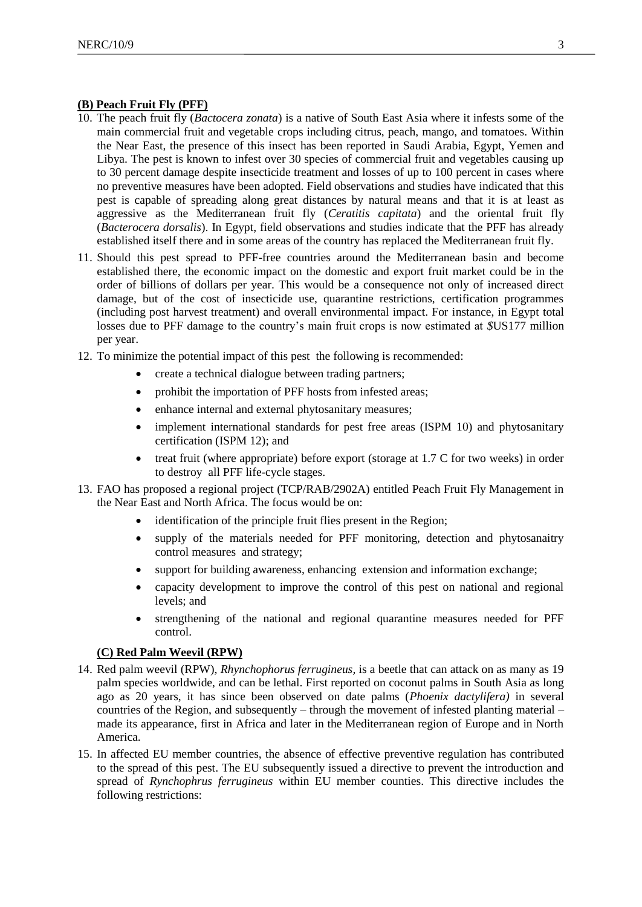## **(B) Peach Fruit Fly (PFF)**

- 10. The peach fruit fly (*Bactocera zonata*) is a native of South East Asia where it infests some of the main commercial fruit and vegetable crops including citrus, peach, mango, and tomatoes. Within the Near East, the presence of this insect has been reported in Saudi Arabia, Egypt, Yemen and Libya. The pest is known to infest over 30 species of commercial fruit and vegetables causing up to 30 percent damage despite insecticide treatment and losses of up to 100 percent in cases where no preventive measures have been adopted. Field observations and studies have indicated that this pest is capable of spreading along great distances by natural means and that it is at least as aggressive as the Mediterranean fruit fly (*Ceratitis capitata*) and the oriental fruit fly (*Bacterocera dorsalis*). In Egypt, field observations and studies indicate that the PFF has already established itself there and in some areas of the country has replaced the Mediterranean fruit fly.
- 11. Should this pest spread to PFF-free countries around the Mediterranean basin and become established there, the economic impact on the domestic and export fruit market could be in the order of billions of dollars per year. This would be a consequence not only of increased direct damage, but of the cost of insecticide use, quarantine restrictions, certification programmes (including post harvest treatment) and overall environmental impact. For instance, in Egypt total losses due to PFF damage to the country's main fruit crops is now estimated at *\$*US177 million per year.
- 12. To minimize the potential impact of this pest the following is recommended:
	- create a technical dialogue between trading partners;
	- prohibit the importation of PFF hosts from infested areas;
	- enhance internal and external phytosanitary measures;
	- implement international standards for pest free areas (ISPM 10) and phytosanitary certification (ISPM 12); and
	- treat fruit (where appropriate) before export (storage at 1.7 C for two weeks) in order to destroy all PFF life-cycle stages.
- 13. FAO has proposed a regional project (TCP/RAB/2902A) entitled Peach Fruit Fly Management in the Near East and North Africa. The focus would be on:
	- identification of the principle fruit flies present in the Region;
	- supply of the materials needed for PFF monitoring, detection and phytosanaitry control measures and strategy;
	- support for building awareness, enhancing extension and information exchange;
	- capacity development to improve the control of this pest on national and regional levels; and
	- strengthening of the national and regional quarantine measures needed for PFF control.

## **(C) Red Palm Weevil (RPW)**

- 14. Red palm weevil (RPW), *Rhynchophorus ferrugineus,* is a beetle that can attack on as many as 19 palm species worldwide, and can be lethal. First reported on coconut palms in South Asia as long ago as 20 years, it has since been observed on date palms (*Phoenix dactylifera)* in several countries of the Region, and subsequently – through the movement of infested planting material – made its appearance, first in Africa and later in the Mediterranean region of Europe and in North America.
- 15. In affected EU member countries, the absence of effective preventive regulation has contributed to the spread of this pest. The EU subsequently issued a directive to prevent the introduction and spread of *Rynchophrus ferrugineus* within EU member counties. This directive includes the following restrictions: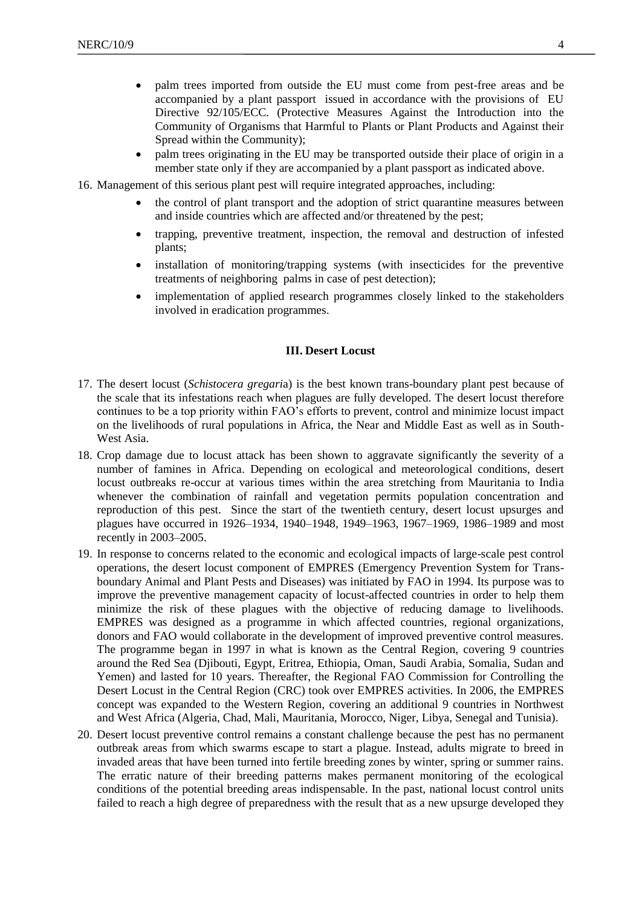- palm trees imported from outside the EU must come from pest-free areas and be accompanied by a plant passport issued in accordance with the provisions of EU Directive 92/105/ECC*.* (Protective Measures Against the Introduction into the Community of Organisms that Harmful to Plants or Plant Products and Against their Spread within the Community);
- palm trees originating in the EU may be transported outside their place of origin in a member state only if they are accompanied by a plant passport as indicated above.
- 16. Management of this serious plant pest will require integrated approaches, including:
	- the control of plant transport and the adoption of strict quarantine measures between and inside countries which are affected and/or threatened by the pest;
	- trapping, preventive treatment, inspection, the removal and destruction of infested plants;
	- installation of monitoring/trapping systems (with insecticides for the preventive treatments of neighboring palms in case of pest detection);
	- implementation of applied research programmes closely linked to the stakeholders involved in eradication programmes.

#### **III. Desert Locust**

- <span id="page-3-0"></span>17. The desert locust (*Schistocera gregari*a) is the best known trans-boundary plant pest because of the scale that its infestations reach when plagues are fully developed. The desert locust therefore continues to be a top priority within FAO's efforts to prevent, control and minimize locust impact on the livelihoods of rural populations in Africa, the Near and Middle East as well as in South-West Asia.
- 18. Crop damage due to locust attack has been shown to aggravate significantly the severity of a number of famines in Africa. Depending on ecological and meteorological conditions, desert locust outbreaks re-occur at various times within the area stretching from Mauritania to India whenever the combination of rainfall and vegetation permits population concentration and reproduction of this pest. Since the start of the twentieth century, desert locust upsurges and plagues have occurred in 1926–1934, 1940–1948, 1949–1963, 1967–1969, 1986–1989 and most recently in 2003–2005.
- 19. In response to concerns related to the economic and ecological impacts of large-scale pest control operations, the desert locust component of EMPRES (Emergency Prevention System for Transboundary Animal and Plant Pests and Diseases) was initiated by FAO in 1994*.* Its purpose was to improve the preventive management capacity of locust-affected countries in order to help them minimize the risk of these plagues with the objective of reducing damage to livelihoods. EMPRES was designed as a programme in which affected countries, regional organizations, donors and FAO would collaborate in the development of improved preventive control measures. The programme began in 1997 in what is known as the Central Region, covering 9 countries around the Red Sea (Djibouti, Egypt, Eritrea, Ethiopia, Oman, Saudi Arabia, Somalia, Sudan and Yemen) and lasted for 10 years. Thereafter, the Regional FAO Commission for Controlling the Desert Locust in the Central Region (CRC) took over EMPRES activities. In 2006, the EMPRES concept was expanded to the Western Region, covering an additional 9 countries in Northwest and West Africa (Algeria, Chad, Mali, Mauritania, Morocco, Niger, Libya, Senegal and Tunisia).
- 20. Desert locust preventive control remains a constant challenge because the pest has no permanent outbreak areas from which swarms escape to start a plague. Instead, adults migrate to breed in invaded areas that have been turned into fertile breeding zones by winter, spring or summer rains. The erratic nature of their breeding patterns makes permanent monitoring of the ecological conditions of the potential breeding areas indispensable. In the past, national locust control units failed to reach a high degree of preparedness with the result that as a new upsurge developed they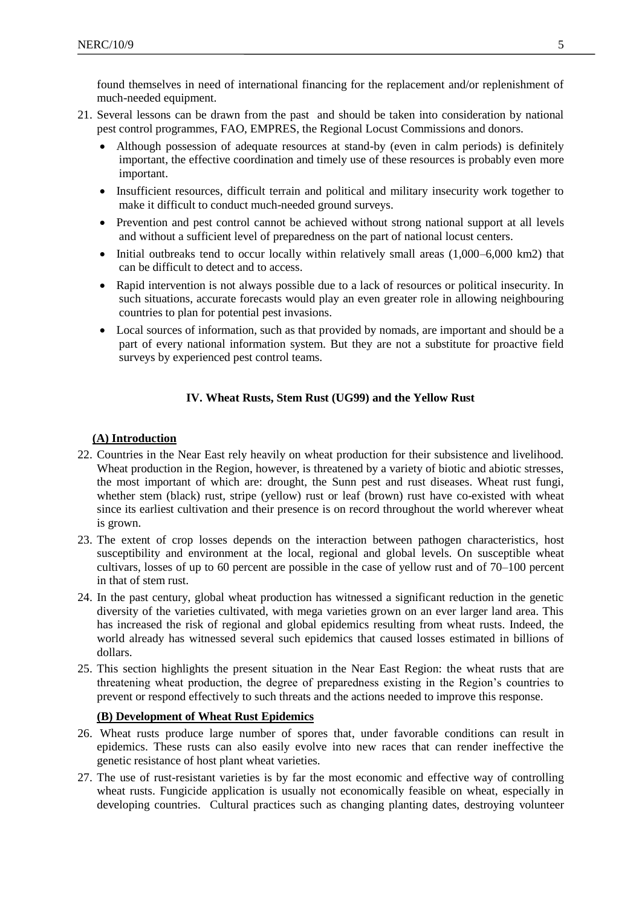found themselves in need of international financing for the replacement and/or replenishment of much-needed equipment.

- 21. Several lessons can be drawn from the past and should be taken into consideration by national pest control programmes, FAO, EMPRES, the Regional Locust Commissions and donors.
	- Although possession of adequate resources at stand-by (even in calm periods) is definitely important, the effective coordination and timely use of these resources is probably even more important.
	- Insufficient resources, difficult terrain and political and military insecurity work together to make it difficult to conduct much-needed ground surveys.
	- Prevention and pest control cannot be achieved without strong national support at all levels and without a sufficient level of preparedness on the part of national locust centers.
	- Initial outbreaks tend to occur locally within relatively small areas (1,000–6,000 km2) that can be difficult to detect and to access.
	- Rapid intervention is not always possible due to a lack of resources or political insecurity. In such situations, accurate forecasts would play an even greater role in allowing neighbouring countries to plan for potential pest invasions.
	- Local sources of information, such as that provided by nomads, are important and should be a part of every national information system. But they are not a substitute for proactive field surveys by experienced pest control teams.

## **IV. Wheat Rusts, Stem Rust (UG99) and the Yellow Rust**

## <span id="page-4-0"></span> **(A) Introduction**

- 22. Countries in the Near East rely heavily on wheat production for their subsistence and livelihood. Wheat production in the Region, however, is threatened by a variety of biotic and abiotic stresses, the most important of which are: drought, the Sunn pest and rust diseases. Wheat rust fungi, whether stem (black) rust, stripe (yellow) rust or leaf (brown) rust have co-existed with wheat since its earliest cultivation and their presence is on record throughout the world wherever wheat is grown.
- 23. The extent of crop losses depends on the interaction between pathogen characteristics*,* host susceptibility and environment at the local, regional and global levels. On susceptible wheat cultivars, losses of up to 60 percent are possible in the case of yellow rust and of 70–100 percent in that of stem rust.
- 24. In the past century, global wheat production has witnessed a significant reduction in the genetic diversity of the varieties cultivated, with mega varieties grown on an ever larger land area. This has increased the risk of regional and global epidemics resulting from wheat rusts. Indeed, the world already has witnessed several such epidemics that caused losses estimated in billions of dollars.
- 25. This section highlights the present situation in the Near East Region: the wheat rusts that are threatening wheat production, the degree of preparedness existing in the Region's countries to prevent or respond effectively to such threats and the actions needed to improve this response.

## **(B) Development of Wheat Rust Epidemics**

- 26. Wheat rusts produce large number of spores that, under favorable conditions can result in epidemics. These rusts can also easily evolve into new races that can render ineffective the genetic resistance of host plant wheat varieties.
- 27. The use of rust-resistant varieties is by far the most economic and effective way of controlling wheat rusts. Fungicide application is usually not economically feasible on wheat, especially in developing countries. Cultural practices such as changing planting dates, destroying volunteer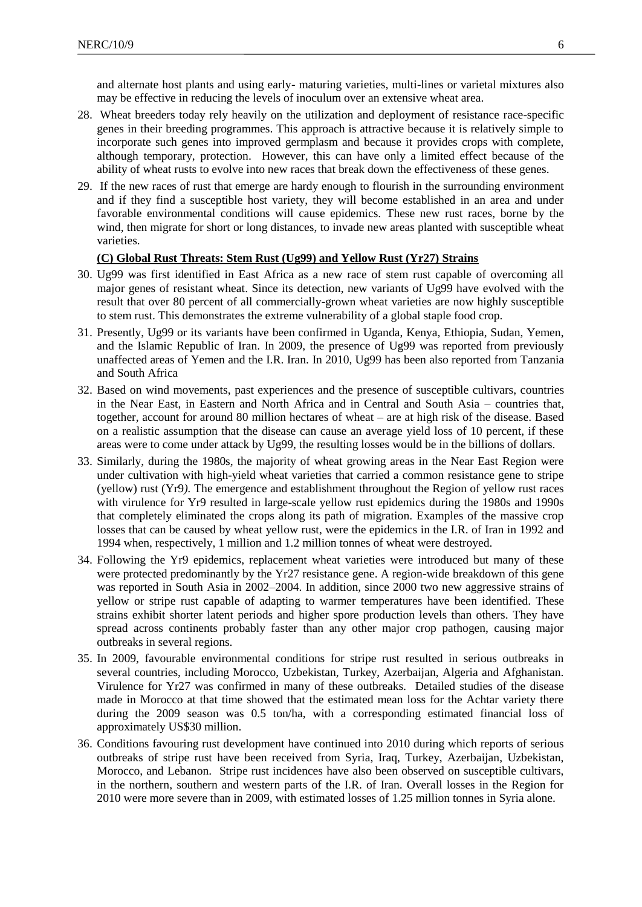and alternate host plants and using early- maturing varieties, multi-lines or varietal mixtures also may be effective in reducing the levels of inoculum over an extensive wheat area.

- 28. Wheat breeders today rely heavily on the utilization and deployment of resistance race-specific genes in their breeding programmes. This approach is attractive because it is relatively simple to incorporate such genes into improved germplasm and because it provides crops with complete, although temporary, protection. However, this can have only a limited effect because of the ability of wheat rusts to evolve into new races that break down the effectiveness of these genes.
- 29. If the new races of rust that emerge are hardy enough to flourish in the surrounding environment and if they find a susceptible host variety, they will become established in an area and under favorable environmental conditions will cause epidemics. These new rust races, borne by the wind, then migrate for short or long distances, to invade new areas planted with susceptible wheat varieties.

# **(C) Global Rust Threats: Stem Rust (Ug99) and Yellow Rust (Yr27) Strains**

- 30. Ug99 was first identified in East Africa as a new race of stem rust capable of overcoming all major genes of resistant wheat. Since its detection, new variants of Ug99 have evolved with the result that over 80 percent of all commercially-grown wheat varieties are now highly susceptible to stem rust. This demonstrates the extreme vulnerability of a global staple food crop.
- 31. Presently, Ug99 or its variants have been confirmed in Uganda, Kenya, Ethiopia, Sudan, Yemen, and the Islamic Republic of Iran. In 2009, the presence of Ug99 was reported from previously unaffected areas of Yemen and the I.R. Iran. In 2010, Ug99 has been also reported from Tanzania and South Africa
- 32. Based on wind movements, past experiences and the presence of susceptible cultivars, countries in the Near East, in Eastern and North Africa and in Central and South Asia – countries that, together, account for around 80 million hectares of wheat – are at high risk of the disease. Based on a realistic assumption that the disease can cause an average yield loss of 10 percent, if these areas were to come under attack by Ug99, the resulting losses would be in the billions of dollars.
- 33. Similarly, during the 1980s, the majority of wheat growing areas in the Near East Region were under cultivation with high-yield wheat varieties that carried a common resistance gene to stripe (yellow) rust (Yr9*).* The emergence and establishment throughout the Region of yellow rust races with virulence for Yr9 resulted in large-scale yellow rust epidemics during the 1980s and 1990s that completely eliminated the crops along its path of migration. Examples of the massive crop losses that can be caused by wheat yellow rust, were the epidemics in the I.R. of Iran in 1992 and 1994 when, respectively, 1 million and 1.2 million tonnes of wheat were destroyed.
- 34. Following the Yr9 epidemics, replacement wheat varieties were introduced but many of these were protected predominantly by the Yr27 resistance gene. A region-wide breakdown of this gene was reported in South Asia in 2002–2004. In addition, since 2000 two new aggressive strains of yellow or stripe rust capable of adapting to warmer temperatures have been identified. These strains exhibit shorter latent periods and higher spore production levels than others. They have spread across continents probably faster than any other major crop pathogen, causing major outbreaks in several regions.
- 35. In 2009, favourable environmental conditions for stripe rust resulted in serious outbreaks in several countries, including Morocco, Uzbekistan, Turkey, Azerbaijan, Algeria and Afghanistan. Virulence for Yr27 was confirmed in many of these outbreaks. Detailed studies of the disease made in Morocco at that time showed that the estimated mean loss for the Achtar variety there during the 2009 season was 0.5 ton/ha, with a corresponding estimated financial loss of approximately US\$30 million.
- 36. Conditions favouring rust development have continued into 2010 during which reports of serious outbreaks of stripe rust have been received from Syria, Iraq, Turkey, Azerbaijan, Uzbekistan, Morocco, and Lebanon. Stripe rust incidences have also been observed on susceptible cultivars, in the northern, southern and western parts of the I.R. of Iran. Overall losses in the Region for 2010 were more severe than in 2009, with estimated losses of 1.25 million tonnes in Syria alone.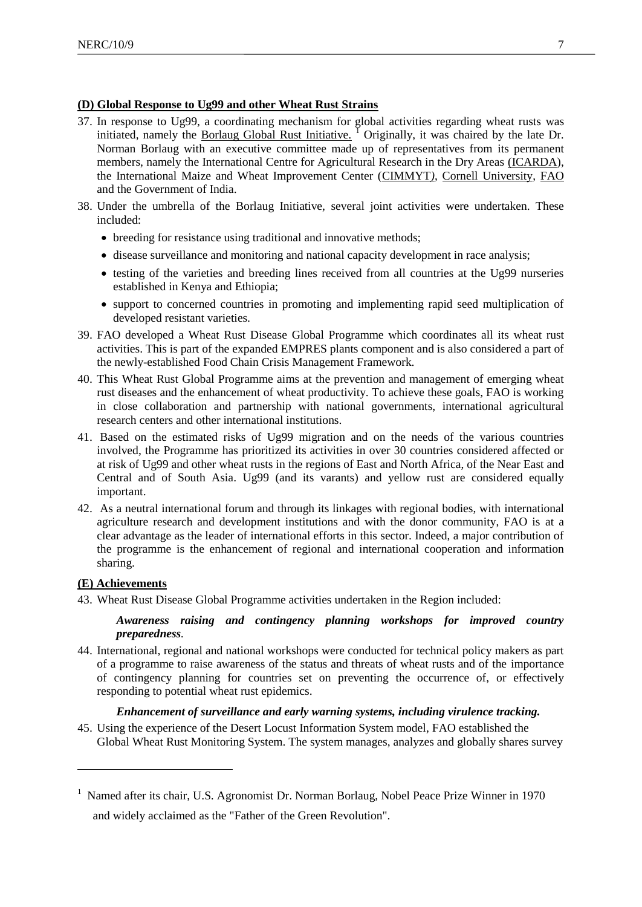## **(D) Global Response to Ug99 and other Wheat Rust Strains**

- 37. In response to Ug99, a coordinating mechanism for global activities regarding wheat rusts was initiated, namely the Borlaug Global Rust Initiative.<sup>1</sup> Originally, it was chaired by the late Dr. Norman Borlaug with an executive committee made up of representatives from its permanent members, namely the International Centre for Agricultural Research in the Dry Areas (ICARDA), the International Maize and Wheat Improvement Center (CIMMYT*)*, Cornell University, FAO and the Government of India.
- 38. Under the umbrella of the Borlaug Initiative, several joint activities were undertaken. These included:
	- breeding for resistance using traditional and innovative methods;
	- disease surveillance and monitoring and national capacity development in race analysis;
	- testing of the varieties and breeding lines received from all countries at the Ug99 nurseries established in Kenya and Ethiopia;
	- support to concerned countries in promoting and implementing rapid seed multiplication of developed resistant varieties.
- 39. FAO developed a Wheat Rust Disease Global Programme which coordinates all its wheat rust activities. This is part of the expanded EMPRES plants component and is also considered a part of the newly-established Food Chain Crisis Management Framework.
- 40. This Wheat Rust Global Programme aims at the prevention and management of emerging wheat rust diseases and the enhancement of wheat productivity. To achieve these goals, FAO is working in close collaboration and partnership with national governments, international agricultural research centers and other international institutions.
- 41. Based on the estimated risks of Ug99 migration and on the needs of the various countries involved, the Programme has prioritized its activities in over 30 countries considered affected or at risk of Ug99 and other wheat rusts in the regions of East and North Africa, of the Near East and Central and of South Asia. Ug99 (and its varants) and yellow rust are considered equally important.
- 42. As a neutral international forum and through its linkages with regional bodies, with international agriculture research and development institutions and with the donor community, FAO is at a clear advantage as the leader of international efforts in this sector. Indeed, a major contribution of the programme is the enhancement of regional and international cooperation and information sharing.

## **(E) Achievements**

1

43. Wheat Rust Disease Global Programme activities undertaken in the Region included:

## *Awareness raising and contingency planning workshops for improved country preparedness.*

44. International, regional and national workshops were conducted for technical policy makers as part of a programme to raise awareness of the status and threats of wheat rusts and of the importance of contingency planning for countries set on preventing the occurrence of, or effectively responding to potential wheat rust epidemics.

## *Enhancement of surveillance and early warning systems, including virulence tracking.*

45. Using the experience of the Desert Locust Information System model, FAO established the Global Wheat Rust Monitoring System. The system manages, analyzes and globally shares survey

<sup>&</sup>lt;sup>1</sup> Named after its chair, U.S. Agronomist Dr. Norman Borlaug, Nobel Peace Prize Winner in 1970 and widely acclaimed as the "Father of the Green Revolution".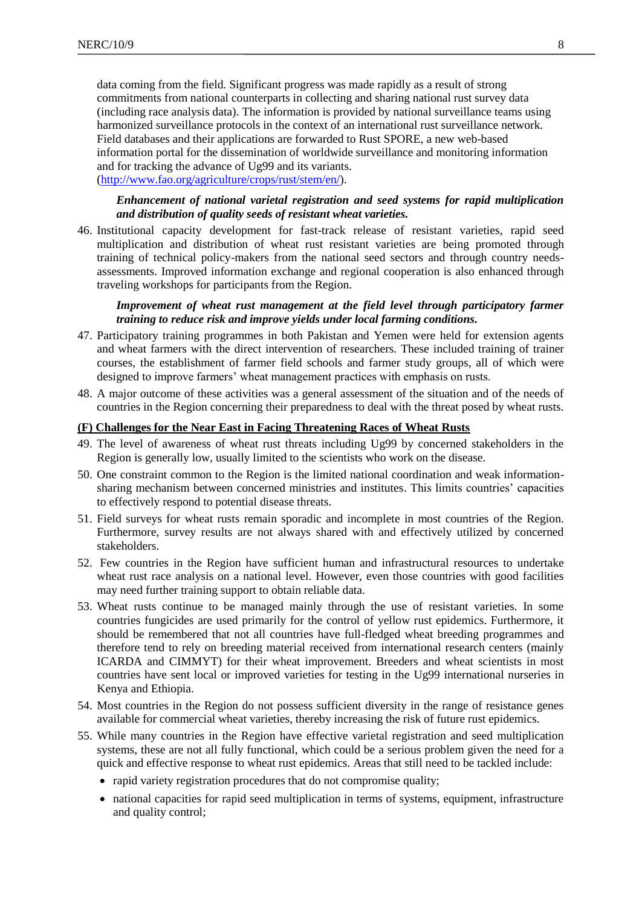data coming from the field. Significant progress was made rapidly as a result of strong commitments from national counterparts in collecting and sharing national rust survey data (including race analysis data). The information is provided by national surveillance teams using harmonized surveillance protocols in the context of an international rust surveillance network. Field databases and their applications are forwarded to Rust SPORE, a new web-based information portal for the dissemination of worldwide surveillance and monitoring information and for tracking the advance of Ug99 and its variants. [\(http://www.fao.org/agriculture/crops/rust/stem/en/\)](http://www.fao.org/agriculture/crops/rust/stem/en/).

*Enhancement of national varietal registration and seed systems for rapid multiplication and distribution of quality seeds of resistant wheat varieties.* 

46. Institutional capacity development for fast-track release of resistant varieties, rapid seed multiplication and distribution of wheat rust resistant varieties are being promoted through training of technical policy-makers from the national seed sectors and through country needsassessments. Improved information exchange and regional cooperation is also enhanced through traveling workshops for participants from the Region.

## *Improvement of wheat rust management at the field level through participatory farmer training to reduce risk and improve yields under local farming conditions.*

- 47. Participatory training programmes in both Pakistan and Yemen were held for extension agents and wheat farmers with the direct intervention of researchers. These included training of trainer courses, the establishment of farmer field schools and farmer study groups, all of which were designed to improve farmers' wheat management practices with emphasis on rusts.
- 48. A major outcome of these activities was a general assessment of the situation and of the needs of countries in the Region concerning their preparedness to deal with the threat posed by wheat rusts.

#### **(F) Challenges for the Near East in Facing Threatening Races of Wheat Rusts**

- 49. The level of awareness of wheat rust threats including Ug99 by concerned stakeholders in the Region is generally low, usually limited to the scientists who work on the disease.
- 50. One constraint common to the Region is the limited national coordination and weak informationsharing mechanism between concerned ministries and institutes. This limits countries' capacities to effectively respond to potential disease threats.
- 51. Field surveys for wheat rusts remain sporadic and incomplete in most countries of the Region. Furthermore, survey results are not always shared with and effectively utilized by concerned stakeholders.
- 52. Few countries in the Region have sufficient human and infrastructural resources to undertake wheat rust race analysis on a national level. However, even those countries with good facilities may need further training support to obtain reliable data.
- 53. Wheat rusts continue to be managed mainly through the use of resistant varieties. In some countries fungicides are used primarily for the control of yellow rust epidemics. Furthermore, it should be remembered that not all countries have full-fledged wheat breeding programmes and therefore tend to rely on breeding material received from international research centers (mainly ICARDA and CIMMYT) for their wheat improvement. Breeders and wheat scientists in most countries have sent local or improved varieties for testing in the Ug99 international nurseries in Kenya and Ethiopia.
- 54. Most countries in the Region do not possess sufficient diversity in the range of resistance genes available for commercial wheat varieties, thereby increasing the risk of future rust epidemics.
- 55. While many countries in the Region have effective varietal registration and seed multiplication systems*,* these are not all fully functional, which could be a serious problem given the need for a quick and effective response to wheat rust epidemics. Areas that still need to be tackled include:
	- rapid variety registration procedures that do not compromise quality;
	- national capacities for rapid seed multiplication in terms of systems, equipment, infrastructure and quality control;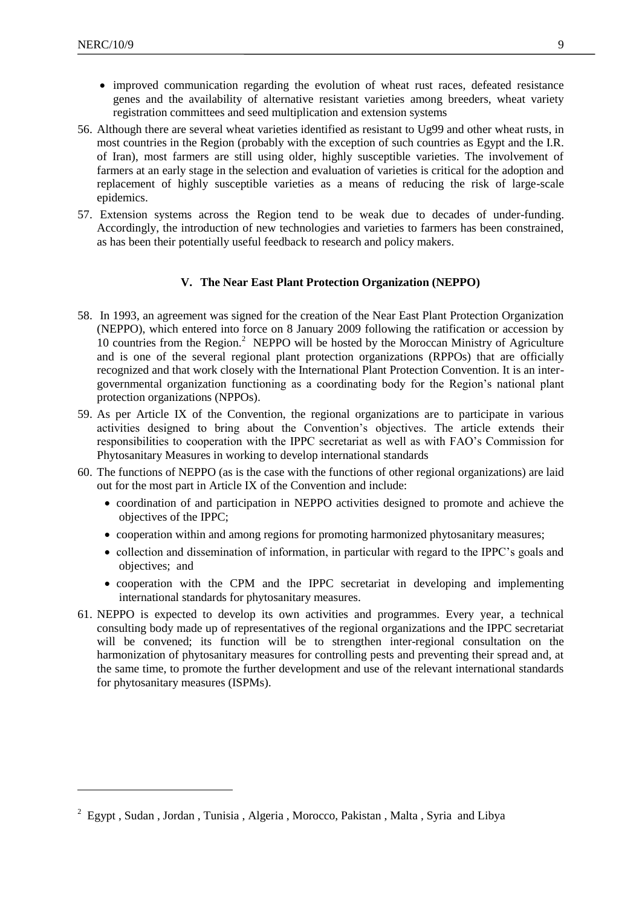<span id="page-8-1"></span>1

- improved communication regarding the evolution of wheat rust races, defeated resistance genes and the availability of alternative resistant varieties among breeders, wheat variety registration committees and seed multiplication and extension systems
- 56. Although there are several wheat varieties identified as resistant to Ug99 and other wheat rusts, in most countries in the Region (probably with the exception of such countries as Egypt and the I.R. of Iran), most farmers are still using older, highly susceptible varieties. The involvement of farmers at an early stage in the selection and evaluation of varieties is critical for the adoption and replacement of highly susceptible varieties as a means of reducing the risk of large-scale epidemics.
- 57. Extension systems across the Region tend to be weak due to decades of under-funding. Accordingly, the introduction of new technologies and varieties to farmers has been constrained, as has been their potentially useful feedback to research and policy makers.

## **V. The Near East Plant Protection Organization (NEPPO)**

- <span id="page-8-0"></span>58. In 1993, an agreement was signed for the creation of the Near East Plant Protection Organization (NEPPO), which entered into force on 8 January 2009 following the ratification or accession by 10 countries from the Region.<sup>2</sup> NEPPO will be hosted by the Moroccan Ministry of Agriculture and is one of the several regional plant protection organizations (RPPOs) that are officially recognized and that work closely with the International Plant Protection Convention. It is an intergovernmental organization functioning as a coordinating body for the Region's national plant protection organizations (NPPOs).
- 59. As per Article IX of the Convention, the regional organizations are to participate in various activities designed to bring about the Convention's objectives. The article extends their responsibilities to cooperation with the IPPC secretariat as well as with FAO's Commission for Phytosanitary Measures in working to develop international standards
- 60. The functions of NEPPO (as is the case with the functions of other regional organizations) are laid out for the most part in Article IX of the Convention and include:
	- coordination of and participation in NEPPO activities designed to promote and achieve the objectives of the IPPC;
	- cooperation within and among regions for promoting harmonized phytosanitary measures;
	- collection and dissemination of information, in particular with regard to the IPPC's goals and objectives; and
	- cooperation with the CPM and the IPPC secretariat in developing and implementing international standards for phytosanitary measures.
- 61. NEPPO is expected to develop its own activities and programmes. Every year, a technical consulting body made up of representatives of the regional organizations and the IPPC secretariat will be convened; its function will be to strengthen inter-regional consultation on the harmonization of phytosanitary measures for controlling pests and preventing their spread and, at the same time, to promote the further development and use of the relevant international standards for phytosanitary measures (ISPMs)*.*

<sup>&</sup>lt;sup>2</sup> Egypt, Sudan, Jordan, Tunisia, Algeria, Morocco, Pakistan, Malta, Syria and Libya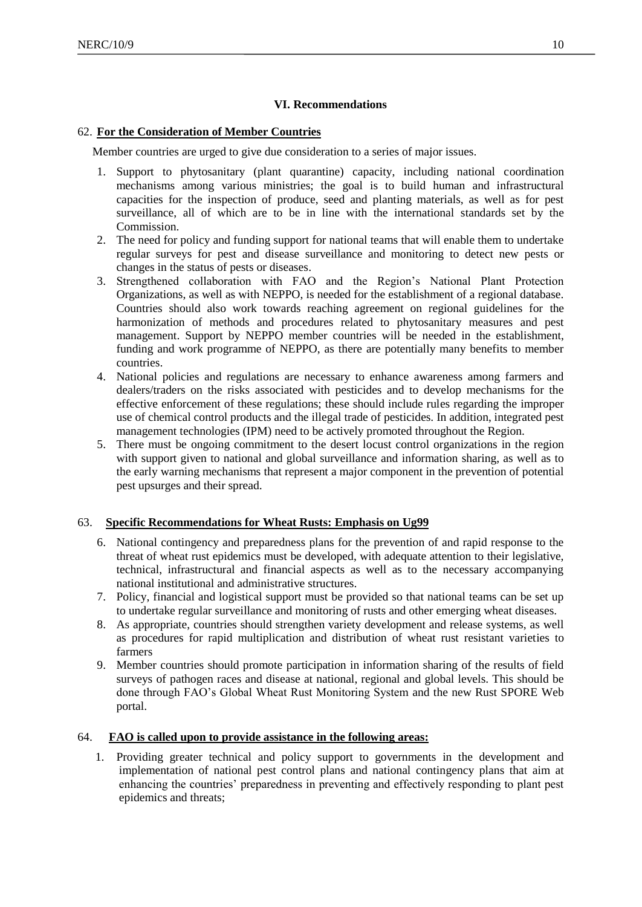# **VI. Recommendations**

## 62. **For the Consideration of Member Countries**

Member countries are urged to give due consideration to a series of major issues.

- 1. Support to phytosanitary (plant quarantine) capacity, including national coordination mechanisms among various ministries; the goal is to build human and infrastructural capacities for the inspection of produce, seed and planting materials, as well as for pest surveillance, all of which are to be in line with the international standards set by the Commission.
- 2. The need for policy and funding support for national teams that will enable them to undertake regular surveys for pest and disease surveillance and monitoring to detect new pests or changes in the status of pests or diseases.
- 3. Strengthened collaboration with FAO and the Region's National Plant Protection Organizations, as well as with NEPPO, is needed for the establishment of a regional database. Countries should also work towards reaching agreement on regional guidelines for the harmonization of methods and procedures related to phytosanitary measures and pest management. Support by NEPPO member countries will be needed in the establishment, funding and work programme of NEPPO, as there are potentially many benefits to member countries.
- 4. National policies and regulations are necessary to enhance awareness among farmers and dealers/traders on the risks associated with pesticides and to develop mechanisms for the effective enforcement of these regulations; these should include rules regarding the improper use of chemical control products and the illegal trade of pesticides. In addition, integrated pest management technologies (IPM) need to be actively promoted throughout the Region.
- 5. There must be ongoing commitment to the desert locust control organizations in the region with support given to national and global surveillance and information sharing, as well as to the early warning mechanisms that represent a major component in the prevention of potential pest upsurges and their spread.

# 63. **Specific Recommendations for Wheat Rusts: Emphasis on Ug99**

- 6. National contingency and preparedness plans for the prevention of and rapid response to the threat of wheat rust epidemics must be developed, with adequate attention to their legislative, technical, infrastructural and financial aspects as well as to the necessary accompanying national institutional and administrative structures.
- 7. Policy, financial and logistical support must be provided so that national teams can be set up to undertake regular surveillance and monitoring of rusts and other emerging wheat diseases.
- 8. As appropriate, countries should strengthen variety development and release systems, as well as procedures for rapid multiplication and distribution of wheat rust resistant varieties to farmers
- 9. Member countries should promote participation in information sharing of the results of field surveys of pathogen races and disease at national, regional and global levels. This should be done through FAO's Global Wheat Rust Monitoring System and the new Rust SPORE Web portal.

# 64. **FAO is called upon to provide assistance in the following areas:**

1. Providing greater technical and policy support to governments in the development and implementation of national pest control plans and national contingency plans that aim at enhancing the countries' preparedness in preventing and effectively responding to plant pest epidemics and threats;